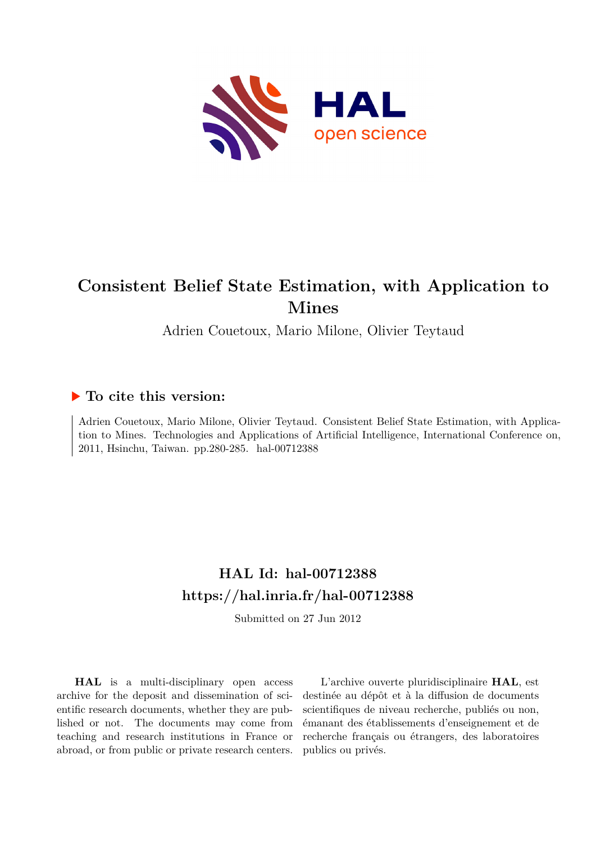

# **Consistent Belief State Estimation, with Application to Mines**

Adrien Couetoux, Mario Milone, Olivier Teytaud

# **To cite this version:**

Adrien Couetoux, Mario Milone, Olivier Teytaud. Consistent Belief State Estimation, with Application to Mines. Technologies and Applications of Artificial Intelligence, International Conference on, 2011, Hsinchu, Taiwan. pp.280-285. hal-00712388

# **HAL Id: hal-00712388 <https://hal.inria.fr/hal-00712388>**

Submitted on 27 Jun 2012

**HAL** is a multi-disciplinary open access archive for the deposit and dissemination of scientific research documents, whether they are published or not. The documents may come from teaching and research institutions in France or abroad, or from public or private research centers.

L'archive ouverte pluridisciplinaire **HAL**, est destinée au dépôt et à la diffusion de documents scientifiques de niveau recherche, publiés ou non, émanant des établissements d'enseignement et de recherche français ou étrangers, des laboratoires publics ou privés.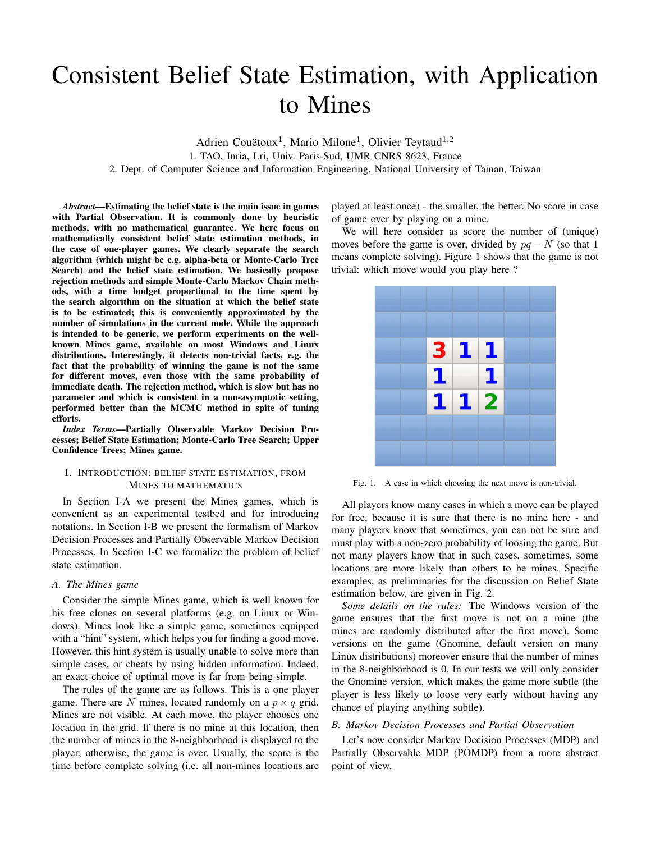# Consistent Belief State Estimation, with Application to Mines

Adrien Couëtoux<sup>1</sup>, Mario Milone<sup>1</sup>, Olivier Teytaud<sup>1,2</sup> 1. TAO, Inria, Lri, Univ. Paris-Sud, UMR CNRS 8623, France 2. Dept. of Computer Science and Information Engineering, National University of Tainan, Taiwan

*Abstract*—Estimating the belief state is the main issue in games with Partial Observation. It is commonly done by heuristic methods, with no mathematical guarantee. We here focus on mathematically consistent belief state estimation methods, in the case of one-player games. We clearly separate the search algorithm (which might be e.g. alpha-beta or Monte-Carlo Tree Search) and the belief state estimation. We basically propose rejection methods and simple Monte-Carlo Markov Chain methods, with a time budget proportional to the time spent by the search algorithm on the situation at which the belief state is to be estimated; this is conveniently approximated by the number of simulations in the current node. While the approach is intended to be generic, we perform experiments on the wellknown Mines game, available on most Windows and Linux distributions. Interestingly, it detects non-trivial facts, e.g. the fact that the probability of winning the game is not the same for different moves, even those with the same probability of immediate death. The rejection method, which is slow but has no parameter and which is consistent in a non-asymptotic setting, performed better than the MCMC method in spite of tuning efforts.

*Index Terms*—Partially Observable Markov Decision Processes; Belief State Estimation; Monte-Carlo Tree Search; Upper Confidence Trees; Mines game.

## I. INTRODUCTION: BELIEF STATE ESTIMATION, FROM MINES TO MATHEMATICS

In Section I-A we present the Mines games, which is convenient as an experimental testbed and for introducing notations. In Section I-B we present the formalism of Markov Decision Processes and Partially Observable Markov Decision Processes. In Section I-C we formalize the problem of belief state estimation.

#### *A. The Mines game*

Consider the simple Mines game, which is well known for his free clones on several platforms (e.g. on Linux or Windows). Mines look like a simple game, sometimes equipped with a "hint" system, which helps you for finding a good move. However, this hint system is usually unable to solve more than simple cases, or cheats by using hidden information. Indeed, an exact choice of optimal move is far from being simple.

The rules of the game are as follows. This is a one player game. There are N mines, located randomly on a  $p \times q$  grid. Mines are not visible. At each move, the player chooses one location in the grid. If there is no mine at this location, then the number of mines in the 8-neighborhood is displayed to the player; otherwise, the game is over. Usually, the score is the time before complete solving (i.e. all non-mines locations are played at least once) - the smaller, the better. No score in case of game over by playing on a mine.

We will here consider as score the number of (unique) moves before the game is over, divided by  $pq - N$  (so that 1 means complete solving). Figure 1 shows that the game is not trivial: which move would you play here ?



Fig. 1. A case in which choosing the next move is non-trivial.

All players know many cases in which a move can be played for free, because it is sure that there is no mine here - and many players know that sometimes, you can not be sure and must play with a non-zero probability of loosing the game. But not many players know that in such cases, sometimes, some locations are more likely than others to be mines. Specific examples, as preliminaries for the discussion on Belief State estimation below, are given in Fig. 2.

*Some details on the rules:* The Windows version of the game ensures that the first move is not on a mine (the mines are randomly distributed after the first move). Some versions on the game (Gnomine, default version on many Linux distributions) moreover ensure that the number of mines in the 8-neighborhood is 0. In our tests we will only consider the Gnomine version, which makes the game more subtle (the player is less likely to loose very early without having any chance of playing anything subtle).

### *B. Markov Decision Processes and Partial Observation*

Let's now consider Markov Decision Processes (MDP) and Partially Observable MDP (POMDP) from a more abstract point of view.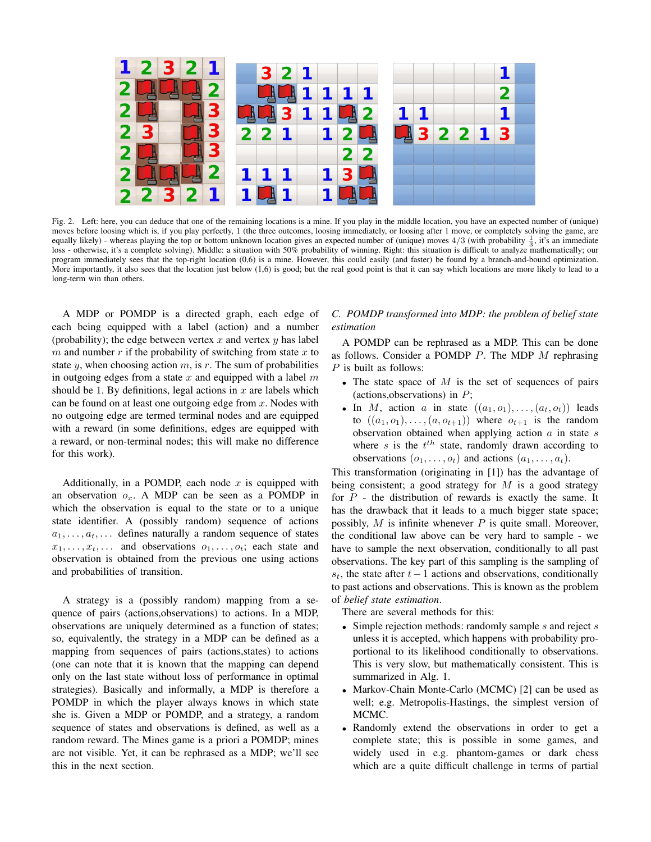

Fig. 2. Left: here, you can deduce that one of the remaining locations is a mine. If you play in the middle location, you have an expected number of (unique) moves before loosing which is, if you play perfectly, 1 (the three outcomes, loosing immediately, or loosing after 1 move, or completely solving the game, are equally likely) - whereas playing the top or bottom unknown location gives an expected number of (unique) moves  $4/3$  (with probability  $\frac{1}{3}$ , it's an immediate loss - otherwise, it's a complete solving). Middle: a situation with 50% probability of winning. Right: this situation is difficult to analyze mathematically; our program immediately sees that the top-right location (0,6) is a mine. However, this could easily (and faster) be found by a branch-and-bound optimization. More importantly, it also sees that the location just below (1,6) is good; but the real good point is that it can say which locations are more likely to lead to a long-term win than others.

A MDP or POMDP is a directed graph, each edge of each being equipped with a label (action) and a number (probability); the edge between vertex  $x$  and vertex  $y$  has label m and number r if the probability of switching from state x to state y, when choosing action  $m$ , is r. The sum of probabilities in outgoing edges from a state x and equipped with a label  $m$ should be 1. By definitions, legal actions in  $x$  are labels which can be found on at least one outgoing edge from  $x$ . Nodes with no outgoing edge are termed terminal nodes and are equipped with a reward (in some definitions, edges are equipped with a reward, or non-terminal nodes; this will make no difference for this work).

Additionally, in a POMDP, each node  $x$  is equipped with an observation  $o_x$ . A MDP can be seen as a POMDP in which the observation is equal to the state or to a unique state identifier. A (possibly random) sequence of actions  $a_1, \ldots, a_t, \ldots$  defines naturally a random sequence of states  $x_1, \ldots, x_t, \ldots$  and observations  $o_1, \ldots, o_t$ ; each state and observation is obtained from the previous one using actions and probabilities of transition.

A strategy is a (possibly random) mapping from a sequence of pairs (actions,observations) to actions. In a MDP, observations are uniquely determined as a function of states; so, equivalently, the strategy in a MDP can be defined as a mapping from sequences of pairs (actions,states) to actions (one can note that it is known that the mapping can depend only on the last state without loss of performance in optimal strategies). Basically and informally, a MDP is therefore a POMDP in which the player always knows in which state she is. Given a MDP or POMDP, and a strategy, a random sequence of states and observations is defined, as well as a random reward. The Mines game is a priori a POMDP; mines are not visible. Yet, it can be rephrased as a MDP; we'll see this in the next section.

## *C. POMDP transformed into MDP: the problem of belief state estimation*

A POMDP can be rephrased as a MDP. This can be done as follows. Consider a POMDP  $P$ . The MDP  $M$  rephrasing P is built as follows:

- The state space of  $M$  is the set of sequences of pairs (actions, observations) in  $P$ ;
- In M, action a in state  $((a_1, o_1), \ldots, (a_t, o_t))$  leads to  $((a_1, o_1), \ldots, (a, o_{t+1}))$  where  $o_{t+1}$  is the random observation obtained when applying action  $a$  in state  $s$ where  $s$  is the  $t^{th}$  state, randomly drawn according to observations  $(o_1, \ldots, o_t)$  and actions  $(a_1, \ldots, a_t)$ .

This transformation (originating in [1]) has the advantage of being consistent; a good strategy for  $M$  is a good strategy for  $P$  - the distribution of rewards is exactly the same. It has the drawback that it leads to a much bigger state space; possibly,  $M$  is infinite whenever  $P$  is quite small. Moreover, the conditional law above can be very hard to sample - we have to sample the next observation, conditionally to all past observations. The key part of this sampling is the sampling of  $s_t$ , the state after  $t-1$  actions and observations, conditionally to past actions and observations. This is known as the problem of *belief state estimation*.

There are several methods for this:

- Simple rejection methods: randomly sample  $s$  and reject  $s$ unless it is accepted, which happens with probability proportional to its likelihood conditionally to observations. This is very slow, but mathematically consistent. This is summarized in Alg. 1.
- Markov-Chain Monte-Carlo (MCMC) [2] can be used as well; e.g. Metropolis-Hastings, the simplest version of MCMC.
- Randomly extend the observations in order to get a complete state; this is possible in some games, and widely used in e.g. phantom-games or dark chess which are a quite difficult challenge in terms of partial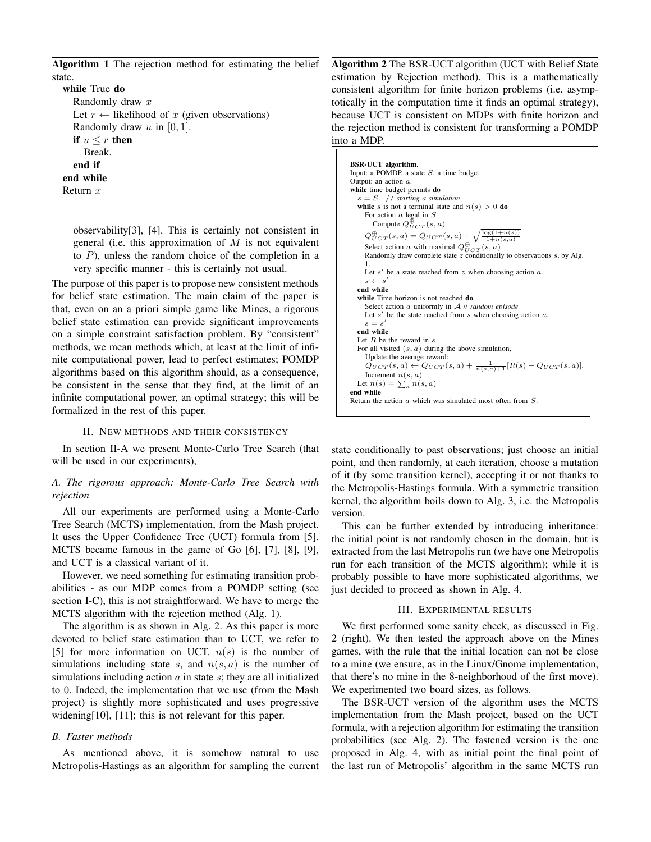| Algorithm 1 The rejection method for estimating the belief |  |  |  |  |
|------------------------------------------------------------|--|--|--|--|
| state.                                                     |  |  |  |  |

| while True do                                           |
|---------------------------------------------------------|
| Randomly draw $x$                                       |
| Let $r \leftarrow$ likelihood of x (given observations) |
| Randomly draw $u$ in [0, 1].                            |
| if $u \leq r$ then                                      |
| Break.                                                  |
| end if                                                  |
| end while                                               |
| Return $x$                                              |

observability[3], [4]. This is certainly not consistent in general (i.e. this approximation of  $M$  is not equivalent to  $P$ ), unless the random choice of the completion in a very specific manner - this is certainly not usual.

The purpose of this paper is to propose new consistent methods for belief state estimation. The main claim of the paper is that, even on an a priori simple game like Mines, a rigorous belief state estimation can provide significant improvements on a simple constraint satisfaction problem. By "consistent" methods, we mean methods which, at least at the limit of infinite computational power, lead to perfect estimates; POMDP algorithms based on this algorithm should, as a consequence, be consistent in the sense that they find, at the limit of an infinite computational power, an optimal strategy; this will be formalized in the rest of this paper.

#### II. NEW METHODS AND THEIR CONSISTENCY

In section II-A we present Monte-Carlo Tree Search (that will be used in our experiments),

## *A. The rigorous approach: Monte-Carlo Tree Search with rejection*

All our experiments are performed using a Monte-Carlo Tree Search (MCTS) implementation, from the Mash project. It uses the Upper Confidence Tree (UCT) formula from [5]. MCTS became famous in the game of Go [6], [7], [8], [9], and UCT is a classical variant of it.

However, we need something for estimating transition probabilities - as our MDP comes from a POMDP setting (see section I-C), this is not straightforward. We have to merge the MCTS algorithm with the rejection method (Alg. 1).

The algorithm is as shown in Alg. 2. As this paper is more devoted to belief state estimation than to UCT, we refer to [5] for more information on UCT.  $n(s)$  is the number of simulations including state s, and  $n(s, a)$  is the number of simulations including action  $a$  in state  $s$ ; they are all initialized to 0. Indeed, the implementation that we use (from the Mash project) is slightly more sophisticated and uses progressive widening[10], [11]; this is not relevant for this paper.

#### *B. Faster methods*

As mentioned above, it is somehow natural to use Metropolis-Hastings as an algorithm for sampling the current

Algorithm 2 The BSR-UCT algorithm (UCT with Belief State estimation by Rejection method). This is a mathematically consistent algorithm for finite horizon problems (i.e. asymptotically in the computation time it finds an optimal strategy), because UCT is consistent on MDPs with finite horizon and the rejection method is consistent for transforming a POMDP into a MDP.

| <b>BSR-UCT</b> algorithm.                                                              |  |  |  |
|----------------------------------------------------------------------------------------|--|--|--|
| Input: a POMDP, a state $S$ , a time budget.                                           |  |  |  |
| Output: an action $a$ .                                                                |  |  |  |
| while time budget permits do                                                           |  |  |  |
| $s = S$ . // starting a simulation                                                     |  |  |  |
| while s is not a terminal state and $n(s) > 0$ do                                      |  |  |  |
| For action $a$ legal in $S$                                                            |  |  |  |
| Compute $Q_{UCT}^{\oplus}(s, a)$                                                       |  |  |  |
| $Q_{UCT}^{\oplus}(s, a) = Q_{UCT}(s, a) + \sqrt{\frac{\log(1+n(s))}{1+n(s, a)}}$       |  |  |  |
| Select action a with maximal $Q_{UCT}^{\oplus}(s, a)$                                  |  |  |  |
| Randomly draw complete state $z$ conditionally to observations $s$ , by Alg.           |  |  |  |
| 1.                                                                                     |  |  |  |
| Let s' be a state reached from z when choosing action a.                               |  |  |  |
| $s \leftarrow s'$                                                                      |  |  |  |
| end while                                                                              |  |  |  |
| while Time horizon is not reached do                                                   |  |  |  |
| Select action $\alpha$ uniformly in $\mathcal{A}$ // random episode                    |  |  |  |
| Let $s'$ be the state reached from s when choosing action a.                           |  |  |  |
| $s = s'$                                                                               |  |  |  |
| end while                                                                              |  |  |  |
| Let $R$ be the reward in $s$                                                           |  |  |  |
| For all visited $(s, a)$ during the above simulation,                                  |  |  |  |
| Update the average reward:                                                             |  |  |  |
| $Q_{UCT}(s, a) \leftarrow Q_{UCT}(s, a) + \frac{1}{n(s, a)+1} [R(s) - Q_{UCT}(s, a)].$ |  |  |  |
|                                                                                        |  |  |  |
| Increment $n(s, a)$                                                                    |  |  |  |
| Let $n(s) = \sum_a n(s, a)$<br>end while                                               |  |  |  |
|                                                                                        |  |  |  |
| Return the action $a$ which was simulated most often from $S$ .                        |  |  |  |

state conditionally to past observations; just choose an initial point, and then randomly, at each iteration, choose a mutation of it (by some transition kernel), accepting it or not thanks to the Metropolis-Hastings formula. With a symmetric transition kernel, the algorithm boils down to Alg. 3, i.e. the Metropolis version.

This can be further extended by introducing inheritance: the initial point is not randomly chosen in the domain, but is extracted from the last Metropolis run (we have one Metropolis run for each transition of the MCTS algorithm); while it is probably possible to have more sophisticated algorithms, we just decided to proceed as shown in Alg. 4.

#### III. EXPERIMENTAL RESULTS

We first performed some sanity check, as discussed in Fig. 2 (right). We then tested the approach above on the Mines games, with the rule that the initial location can not be close to a mine (we ensure, as in the Linux/Gnome implementation, that there's no mine in the 8-neighborhood of the first move). We experimented two board sizes, as follows.

The BSR-UCT version of the algorithm uses the MCTS implementation from the Mash project, based on the UCT formula, with a rejection algorithm for estimating the transition probabilities (see Alg. 2). The fastened version is the one proposed in Alg. 4, with as initial point the final point of the last run of Metropolis' algorithm in the same MCTS run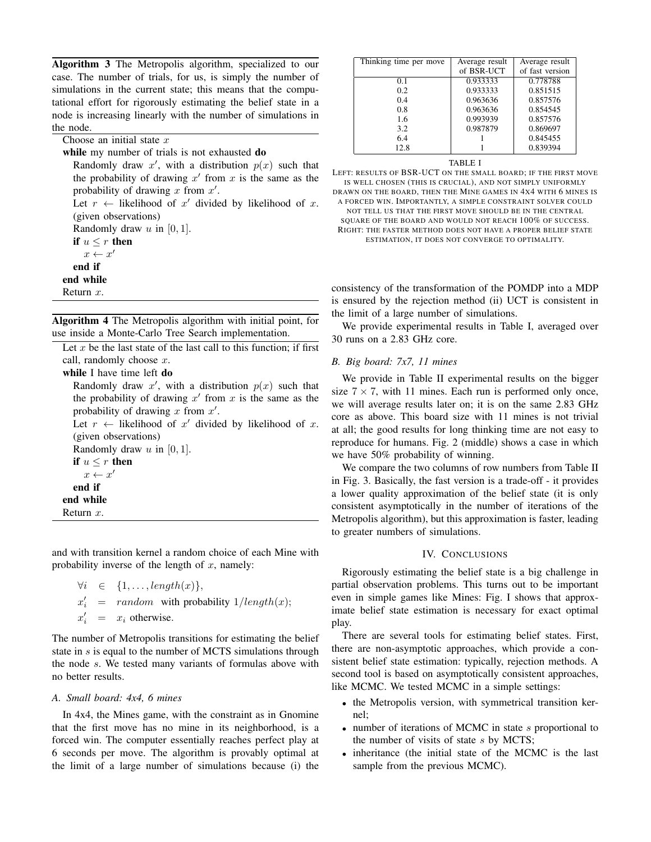Algorithm 3 The Metropolis algorithm, specialized to our case. The number of trials, for us, is simply the number of simulations in the current state; this means that the computational effort for rigorously estimating the belief state in a node is increasing linearly with the number of simulations in the node.

Choose an initial state  $x$ 

while my number of trials is not exhausted do

Randomly draw  $x'$ , with a distribution  $p(x)$  such that the probability of drawing  $x'$  from  $x$  is the same as the probability of drawing x from  $x'$ . Let  $r \leftarrow$  likelihood of  $x'$  divided by likelihood of x. (given observations) Randomly draw  $u$  in [0, 1]. if  $u \leq r$  then  $x \leftarrow x'$ end if end while Return x.

Algorithm 4 The Metropolis algorithm with initial point, for use inside a Monte-Carlo Tree Search implementation.

| Let x be the last state of the last call to this function; if first |
|---------------------------------------------------------------------|
| call, randomly choose $x$ .                                         |
| while I have time left do                                           |
| Randomly draw x', with a distribution $p(x)$ such that              |
| the probability of drawing $x'$ from $x$ is the same as the         |

Let  $r \leftarrow$  likelihood of  $x'$  divided by likelihood of x.

probability of drawing x from  $x'$ .

(given observations) Randomly draw  $u$  in [0, 1]. if  $u \leq r$  then  $x \leftarrow x'$ end if end while Return x.

and with transition kernel a random choice of each Mine with probability inverse of the length of  $x$ , namely:

$$
\forall i \in \{1, ..., length(x)\},
$$
  
\n
$$
x'_i = random \text{ with probability } 1/length(x);
$$
  
\n
$$
x'_i = x_i \text{ otherwise.}
$$

The number of Metropolis transitions for estimating the belief state in s is equal to the number of MCTS simulations through the node s. We tested many variants of formulas above with no better results.

#### *A. Small board: 4x4, 6 mines*

In 4x4, the Mines game, with the constraint as in Gnomine that the first move has no mine in its neighborhood, is a forced win. The computer essentially reaches perfect play at 6 seconds per move. The algorithm is provably optimal at the limit of a large number of simulations because (i) the

| Thinking time per move | Average result | Average result  |  |
|------------------------|----------------|-----------------|--|
|                        | of BSR-UCT     | of fast version |  |
| 0.1                    | 0.933333       | 0.778788        |  |
| 0.2                    | 0.933333       | 0.851515        |  |
| 0.4                    | 0.963636       | 0.857576        |  |
| 0.8                    | 0.963636       | 0.854545        |  |
| 1.6                    | 0.993939       | 0.857576        |  |
| 3.2                    | 0.987879       | 0.869697        |  |
| 6.4                    |                | 0.845455        |  |
| 12.8                   |                | 0.839394        |  |

#### TABLE I

LEFT: RESULTS OF BSR-UCT ON THE SMALL BOARD; IF THE FIRST MOVE IS WELL CHOSEN (THIS IS CRUCIAL), AND NOT SIMPLY UNIFORMLY DRAWN ON THE BOARD, THEN THE MINE GAMES IN 4X4 WITH 6 MINES IS

A FORCED WIN. IMPORTANTLY, A SIMPLE CONSTRAINT SOLVER COULD NOT TELL US THAT THE FIRST MOVE SHOULD BE IN THE CENTRAL SQUARE OF THE BOARD AND WOULD NOT REACH 100% OF SUCCESS. RIGHT: THE FASTER METHOD DOES NOT HAVE A PROPER BELIEF STATE

ESTIMATION, IT DOES NOT CONVERGE TO OPTIMALITY.

consistency of the transformation of the POMDP into a MDP is ensured by the rejection method (ii) UCT is consistent in the limit of a large number of simulations.

We provide experimental results in Table I, averaged over 30 runs on a 2.83 GHz core.

#### *B. Big board: 7x7, 11 mines*

We provide in Table II experimental results on the bigger size  $7 \times 7$ , with 11 mines. Each run is performed only once, we will average results later on; it is on the same 2.83 GHz core as above. This board size with 11 mines is not trivial at all; the good results for long thinking time are not easy to reproduce for humans. Fig. 2 (middle) shows a case in which we have 50% probability of winning.

We compare the two columns of row numbers from Table II in Fig. 3. Basically, the fast version is a trade-off - it provides a lower quality approximation of the belief state (it is only consistent asymptotically in the number of iterations of the Metropolis algorithm), but this approximation is faster, leading to greater numbers of simulations.

#### IV. CONCLUSIONS

Rigorously estimating the belief state is a big challenge in partial observation problems. This turns out to be important even in simple games like Mines: Fig. I shows that approximate belief state estimation is necessary for exact optimal play.

There are several tools for estimating belief states. First, there are non-asymptotic approaches, which provide a consistent belief state estimation: typically, rejection methods. A second tool is based on asymptotically consistent approaches, like MCMC. We tested MCMC in a simple settings:

- the Metropolis version, with symmetrical transition kernel;
- number of iterations of MCMC in state s proportional to the number of visits of state  $s$  by MCTS;
- inheritance (the initial state of the MCMC is the last sample from the previous MCMC).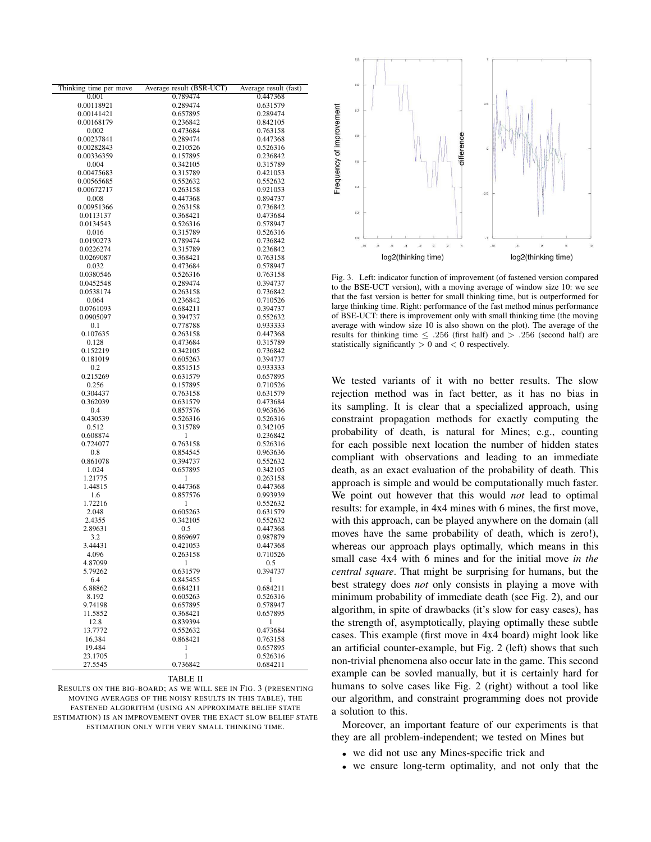| Thinking time per move | Average result (BSR-UCT) | Average result (fast) |
|------------------------|--------------------------|-----------------------|
| 0.001                  | 0.789474                 | 0.447368              |
| 0.00118921             | 0.289474                 | 0.631579              |
| 0.00141421             | 0.657895                 | 0.289474              |
| 0.00168179             | 0.236842                 | 0.842105              |
| 0.002                  | 0.473684                 | 0.763158              |
| 0.00237841             | 0.289474                 | 0.447368              |
| 0.00282843             | 0.210526                 | 0.526316              |
| 0.00336359             | 0.157895                 | 0.236842              |
| 0.004                  | 0.342105                 | 0.315789              |
| 0.00475683             | 0.315789                 | 0.421053              |
| 0.00565685             | 0.552632                 | 0.552632              |
| 0.00672717             | 0.263158                 | 0.921053              |
| 0.008                  | 0.447368                 | 0.894737              |
| 0.00951366             | 0.263158                 | 0.736842              |
| 0.0113137              | 0.368421                 | 0.473684              |
| 0.0134543              | 0.526316                 | 0.578947              |
| 0.016                  | 0.315789                 | 0.526316              |
| 0.0190273              | 0.789474                 | 0.736842              |
| 0.0226274              | 0.315789                 | 0.236842              |
| 0.0269087              | 0.368421                 | 0.763158              |
| 0.032                  | 0.473684                 | 0.578947              |
| 0.0380546              | 0.526316                 | 0.763158              |
| 0.0452548              | 0.289474                 | 0.394737              |
| 0.0538174<br>0.064     | 0.263158<br>0.236842     | 0.736842<br>0.710526  |
|                        |                          |                       |
| 0.0761093              | 0.684211                 | 0.394737              |
| 0.0905097              | 0.394737<br>0.778788     | 0.552632              |
| 0.1                    |                          | 0.933333              |
| 0.107635<br>0.128      | 0.263158<br>0.473684     | 0.447368<br>0.315789  |
| 0.152219               | 0.342105                 | 0.736842              |
| 0.181019               | 0.605263                 | 0.394737              |
| 0.2                    | 0.851515                 | 0.933333              |
| 0.215269               | 0.631579                 | 0.657895              |
| 0.256                  | 0.157895                 | 0.710526              |
| 0.304437               | 0.763158                 | 0.631579              |
| 0.362039               | 0.631579                 | 0.473684              |
| 0.4                    | 0.857576                 | 0.963636              |
| 0.430539               | 0.526316                 | 0.526316              |
| 0.512                  | 0.315789                 | 0.342105              |
| 0.608874               | 1                        | 0.236842              |
| 0.724077               | 0.763158                 | 0.526316              |
| $_{0.8}$               | 0.854545                 | 0.963636              |
| 0.861078               | 0.394737                 | 0.552632              |
| 1.024                  | 0.657895                 | 0.342105              |
| 1.21775                | 1                        | 0.263158              |
| 1.44815                | 0.447368                 | 0.447368              |
| 1.6                    | 0.857576                 | 0.993939              |
| 1.72216                | 1                        | 0.552632              |
| 2.048                  | 0.605263                 | 0.631579              |
| 2.4355                 | 0.342105                 | 0.552632              |
| 2.89631                | 0.5                      | 0.447368              |
| 3.2                    | 0.869697                 | 0.987879              |
| 3.44431                | 0.421053                 | 0.447368              |
| 4.096                  | 0.263158                 | 0.710526              |
| 4.87099                | 1                        | 0.5                   |
| 5.79262                | 0.631579                 | 0.394737              |
| 6.4                    | 0.845455                 | 1                     |
| 6.88862                | 0.684211                 | 0.684211              |
| 8.192                  | 0.605263                 | 0.526316              |
| 9.74198                | 0.657895                 | 0.578947              |
| 11.5852                | 0.368421                 | 0.657895              |
| 12.8                   | 0.839394                 | 1                     |
| 13.7772                | 0.552632                 | 0.473684              |
| 16.384<br>19.484       | 0.868421                 | 0.763158              |
|                        | 1<br>$\mathbf{1}$        | 0.657895<br>0.526316  |
| 23.1705<br>27.5545     | 0.736842                 | 0.684211              |
|                        |                          |                       |

#### TABLE II

RESULTS ON THE BIG-BOARD; AS WE WILL SEE IN FIG. 3 (PRESENTING MOVING AVERAGES OF THE NOISY RESULTS IN THIS TABLE), THE FASTENED ALGORITHM (USING AN APPROXIMATE BELIEF STATE ESTIMATION) IS AN IMPROVEMENT OVER THE EXACT SLOW BELIEF STATE ESTIMATION ONLY WITH VERY SMALL THINKING TIME.



Fig. 3. Left: indicator function of improvement (of fastened version compared to the BSE-UCT version), with a moving average of window size 10: we see that the fast version is better for small thinking time, but is outperformed for large thinking time. Right: performance of the fast method minus performance of BSE-UCT: there is improvement only with small thinking time (the moving average with window size 10 is also shown on the plot). The average of the results for thinking time  $\leq$  .256 (first half) and  $>$  .256 (second half) are statistically significantly  $> 0$  and  $< 0$  respectively.

We tested variants of it with no better results. The slow rejection method was in fact better, as it has no bias in its sampling. It is clear that a specialized approach, using constraint propagation methods for exactly computing the probability of death, is natural for Mines; e.g., counting for each possible next location the number of hidden states compliant with observations and leading to an immediate death, as an exact evaluation of the probability of death. This approach is simple and would be computationally much faster. We point out however that this would *not* lead to optimal results: for example, in 4x4 mines with 6 mines, the first move, with this approach, can be played anywhere on the domain (all moves have the same probability of death, which is zero!), whereas our approach plays optimally, which means in this small case 4x4 with 6 mines and for the initial move *in the central square*. That might be surprising for humans, but the best strategy does *not* only consists in playing a move with minimum probability of immediate death (see Fig. 2), and our algorithm, in spite of drawbacks (it's slow for easy cases), has the strength of, asymptotically, playing optimally these subtle cases. This example (first move in 4x4 board) might look like an artificial counter-example, but Fig. 2 (left) shows that such non-trivial phenomena also occur late in the game. This second example can be sovled manually, but it is certainly hard for humans to solve cases like Fig. 2 (right) without a tool like our algorithm, and constraint programming does not provide a solution to this.

Moreover, an important feature of our experiments is that they are all problem-independent; we tested on Mines but

- we did not use any Mines-specific trick and
- we ensure long-term optimality, and not only that the